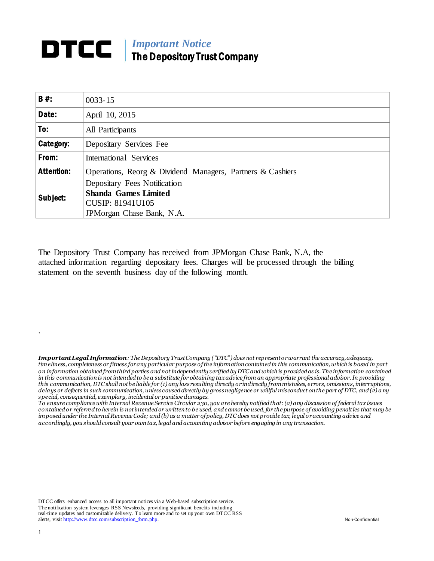## *Important Notice* The Depository Trust Company

| <b>B#:</b>        | $0033 - 15$                                                |  |  |  |  |  |
|-------------------|------------------------------------------------------------|--|--|--|--|--|
| Date:             | April 10, 2015                                             |  |  |  |  |  |
| To:               | All Participants                                           |  |  |  |  |  |
| Category:         | Depositary Services Fee                                    |  |  |  |  |  |
| From:             | International Services                                     |  |  |  |  |  |
| <b>Attention:</b> | Operations, Reorg & Dividend Managers, Partners & Cashiers |  |  |  |  |  |
| Subject:          | Depositary Fees Notification                               |  |  |  |  |  |
|                   | <b>Shanda Games Limited</b>                                |  |  |  |  |  |
|                   | CUSIP: 81941U105                                           |  |  |  |  |  |
|                   | JPMorgan Chase Bank, N.A.                                  |  |  |  |  |  |

The Depository Trust Company has received from JPMorgan Chase Bank, N.A, the attached information regarding depositary fees. Charges will be processed through the billing statement on the seventh business day of the following month.

*Important Legal Information: The Depository Trust Company ("DTC") does not represent or warrant the accuracy, adequacy, timeliness, completeness or fitness for any particular purpose of the information contained in this communication, which is based in part on information obtained from third parties and not independently verified by DTC and which is provided as is. The information contained in this communication is not intended to be a substitute for obtaining tax advice from an appropriate professional advisor. In providing this communication, DTC shall not be liable for (1) any loss resulting directly or indirectly from mistakes, errors, omissions, interruptions, delays or defects in such communication, unless caused directly by gross negligence or willful misconduct on the part of DTC, and (2) a ny special, consequential, exemplary, incidental or punitive damages.*

*To ensure compliance with Internal Revenue Service Circular 230, you are hereby notified that: (a) any discussion of federal tax issues contained or referred to herein is not intended or written to be used, and cannot be used, for the purpose of avoiding penalties that may be imposed under the Internal Revenue Code; and (b) as a matter of policy, DTC does not provide tax, legal or accounting advice and accordingly, you should consult your own tax, legal and accounting advisor before engaging in any transaction.*

DTCC offers enhanced access to all important notices via a Web-based subscription service. The notification system leverages RSS Newsfeeds, providing significant benefits including real-time updates and customizable delivery. To learn more and to set up your own DTCC RSS alerts, visi[t http://www.dtcc.com/subscription\\_form.php.](http://www.dtcc.com/subscription_form.php) Non-Confidential

.